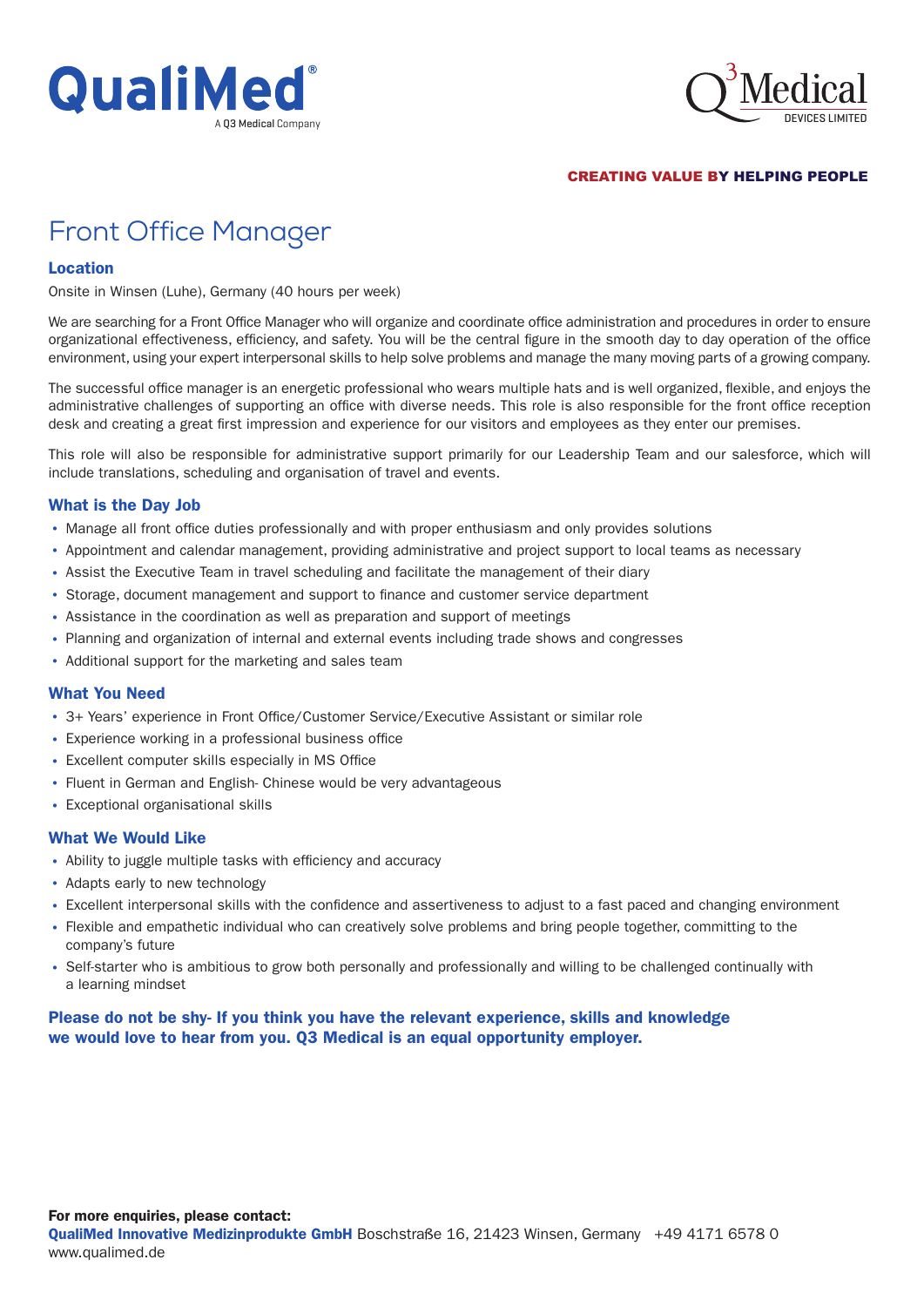



CREATING VALUE BY HELPING PEOPLE

# Front Office Manager

### Location

Onsite in Winsen (Luhe), Germany (40 hours per week)

We are searching for a Front Office Manager who will organize and coordinate office administration and procedures in order to ensure organizational effectiveness, efficiency, and safety. You will be the central figure in the smooth day to day operation of the office environment, using your expert interpersonal skills to help solve problems and manage the many moving parts of a growing company.

The successful office manager is an energetic professional who wears multiple hats and is well organized, flexible, and enjoys the administrative challenges of supporting an office with diverse needs. This role is also responsible for the front office reception desk and creating a great first impression and experience for our visitors and employees as they enter our premises.

This role will also be responsible for administrative support primarily for our Leadership Team and our salesforce, which will include translations, scheduling and organisation of travel and events.

## What is the Day Job

- Manage all front office duties professionally and with proper enthusiasm and only provides solutions
- Appointment and calendar management, providing administrative and project support to local teams as necessary
- Assist the Executive Team in travel scheduling and facilitate the management of their diary
- Storage, document management and support to finance and customer service department
- Assistance in the coordination as well as preparation and support of meetings
- Planning and organization of internal and external events including trade shows and congresses
- Additional support for the marketing and sales team

## What You Need

- 3+ Years' experience in Front Office/Customer Service/Executive Assistant or similar role
- Experience working in a professional business office
- Excellent computer skills especially in MS Office
- Fluent in German and English- Chinese would be very advantageous
- Exceptional organisational skills

#### What We Would Like

- Ability to juggle multiple tasks with efficiency and accuracy
- Adapts early to new technology
- Excellent interpersonal skills with the confidence and assertiveness to adjust to a fast paced and changing environment
- Flexible and empathetic individual who can creatively solve problems and bring people together, committing to the company's future
- Self-starter who is ambitious to grow both personally and professionally and willing to be challenged continually with a learning mindset

## Please do not be shy- If you think you have the relevant experience, skills and knowledge we would love to hear from you. Q3 Medical is an equal opportunity employer.